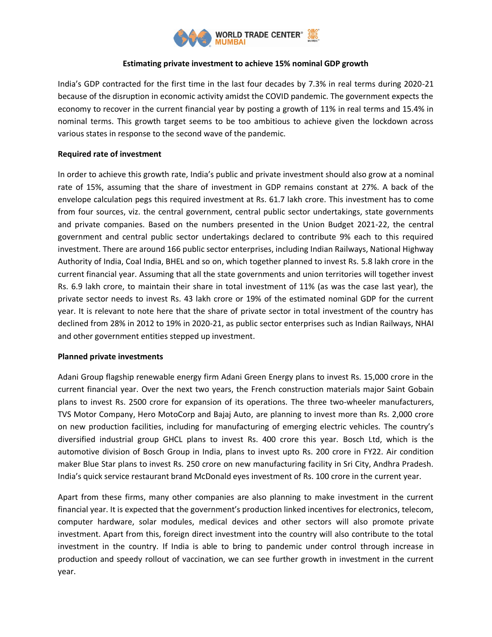

## **Estimating private investment to achieve 15% nominal GDP growth**

India's GDP contracted for the first time in the last four decades by 7.3% in real terms during 2020-21 because of the disruption in economic activity amidst the COVID pandemic. The government expects the economy to recover in the current financial year by posting a growth of 11% in real terms and 15.4% in nominal terms. This growth target seems to be too ambitious to achieve given the lockdown across various states in response to the second wave of the pandemic.

## **Required rate of investment**

In order to achieve this growth rate, India's public and private investment should also grow at a nominal rate of 15%, assuming that the share of investment in GDP remains constant at 27%. A back of the envelope calculation pegs this required investment at Rs. 61.7 lakh crore. This investment has to come from four sources, viz. the central government, central public sector undertakings, state governments and private companies. Based on the numbers presented in the Union Budget 2021-22, the central government and central public sector undertakings declared to contribute 9% each to this required investment. There are around 166 public sector enterprises, including Indian Railways, National Highway Authority of India, Coal India, BHEL and so on, which together planned to invest Rs. 5.8 lakh crore in the current financial year. Assuming that all the state governments and union territories will together invest Rs. 6.9 lakh crore, to maintain their share in total investment of 11% (as was the case last year), the private sector needs to invest Rs. 43 lakh crore or 19% of the estimated nominal GDP for the current year. It is relevant to note here that the share of private sector in total investment of the country has declined from 28% in 2012 to 19% in 2020-21, as public sector enterprises such as Indian Railways, NHAI and other government entities stepped up investment.

## **Planned private investments**

Adani Group flagship renewable energy firm Adani Green Energy plans to invest Rs. 15,000 crore in the current financial year. Over the next two years, the French construction materials major Saint Gobain plans to invest Rs. 2500 crore for expansion of its operations. The three two-wheeler manufacturers, TVS Motor Company, Hero MotoCorp and Bajaj Auto, are planning to invest more than Rs. 2,000 crore on new production facilities, including for manufacturing of emerging electric vehicles. The country's diversified industrial group GHCL plans to invest Rs. 400 crore this year. Bosch Ltd, which is the automotive division of Bosch Group in India, plans to invest upto Rs. 200 crore in FY22. Air condition maker Blue Star plans to invest Rs. 250 crore on new manufacturing facility in Sri City, Andhra Pradesh. India's quick service restaurant brand McDonald eyes investment of Rs. 100 crore in the current year.

Apart from these firms, many other companies are also planning to make investment in the current financial year. It is expected that the government's production linked incentives for electronics, telecom, computer hardware, solar modules, medical devices and other sectors will also promote private investment. Apart from this, foreign direct investment into the country will also contribute to the total investment in the country. If India is able to bring to pandemic under control through increase in production and speedy rollout of vaccination, we can see further growth in investment in the current year.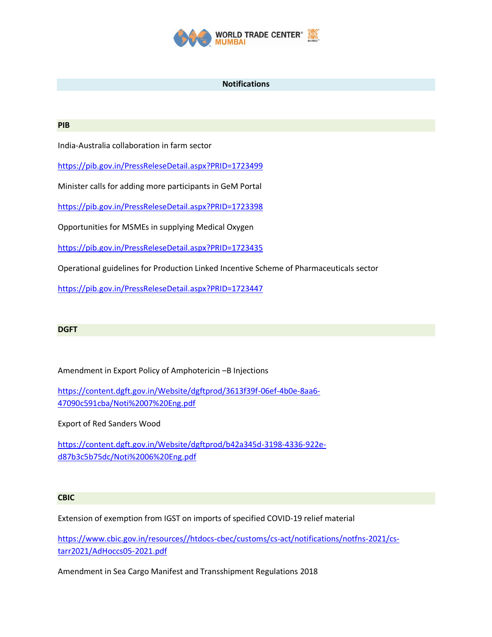

### **Notifications**

#### **PIB**

India-Australia collaboration in farm sector

<https://pib.gov.in/PressReleseDetail.aspx?PRID=1723499>

Minister calls for adding more participants in GeM Portal

<https://pib.gov.in/PressReleseDetail.aspx?PRID=1723398>

Opportunities for MSMEs in supplying Medical Oxygen

<https://pib.gov.in/PressReleseDetail.aspx?PRID=1723435>

Operational guidelines for Production Linked Incentive Scheme of Pharmaceuticals sector

<https://pib.gov.in/PressReleseDetail.aspx?PRID=1723447>

## **DGFT**

Amendment in Export Policy of Amphotericin –B Injections

[https://content.dgft.gov.in/Website/dgftprod/3613f39f-06ef-4b0e-8aa6-](https://content.dgft.gov.in/Website/dgftprod/3613f39f-06ef-4b0e-8aa6-47090c591cba/Noti%2007%20Eng.pdf) [47090c591cba/Noti%2007%20Eng.pdf](https://content.dgft.gov.in/Website/dgftprod/3613f39f-06ef-4b0e-8aa6-47090c591cba/Noti%2007%20Eng.pdf)

Export of Red Sanders Wood

[https://content.dgft.gov.in/Website/dgftprod/b42a345d-3198-4336-922e](https://content.dgft.gov.in/Website/dgftprod/b42a345d-3198-4336-922e-d87b3c5b75dc/Noti%2006%20Eng.pdf)[d87b3c5b75dc/Noti%2006%20Eng.pdf](https://content.dgft.gov.in/Website/dgftprod/b42a345d-3198-4336-922e-d87b3c5b75dc/Noti%2006%20Eng.pdf)

# **CBIC**

Extension of exemption from IGST on imports of specified COVID-19 relief material

[https://www.cbic.gov.in/resources//htdocs-cbec/customs/cs-act/notifications/notfns-2021/cs](https://www.cbic.gov.in/resources/htdocs-cbec/customs/cs-act/notifications/notfns-2021/cs-tarr2021/AdHoccs05-2021.pdf)[tarr2021/AdHoccs05-2021.pdf](https://www.cbic.gov.in/resources/htdocs-cbec/customs/cs-act/notifications/notfns-2021/cs-tarr2021/AdHoccs05-2021.pdf)

Amendment in Sea Cargo Manifest and Transshipment Regulations 2018